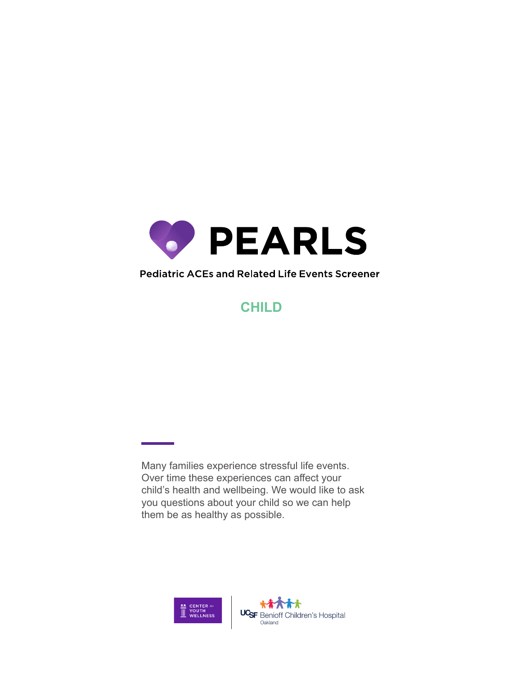

## Pediatric ACEs and Related Life Events Screener

## **CHILD**

Many families experience stressful life events. Over time these experiences can affect your child's health and wellbeing. We would like to ask you questions about your child so we can help them be as healthy as possible.

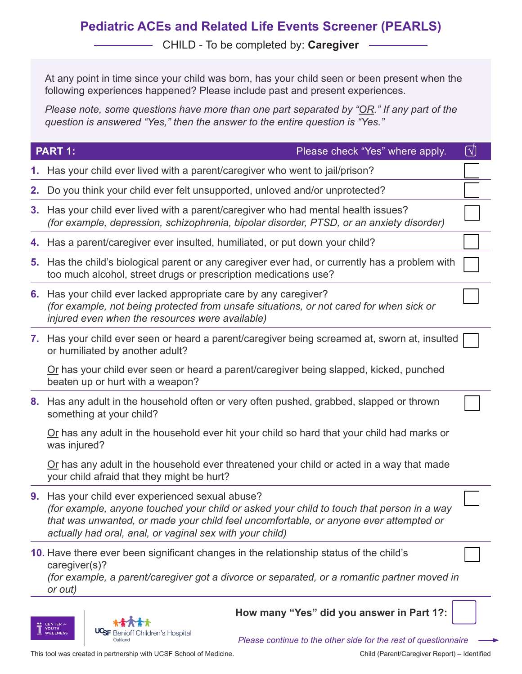## **Pediatric ACEs and Related Life Events Screener (PEARLS)**

CHILD - To be completed by: **Caregiver**

At any point in time since your child was born, has your child seen or been present when the following experiences happened? Please include past and present experiences.

*Please note, some questions have more than one part separated by "OR." If any part of the question is answered "Yes," then the answer to the entire question is "Yes."*

|    | <b>PART 1:</b><br>Please check "Yes" where apply.                                                                                                                                                                                                                                                  | $\boxed{\mathbb{N}}$ |
|----|----------------------------------------------------------------------------------------------------------------------------------------------------------------------------------------------------------------------------------------------------------------------------------------------------|----------------------|
|    | 1. Has your child ever lived with a parent/caregiver who went to jail/prison?                                                                                                                                                                                                                      |                      |
| 2. | Do you think your child ever felt unsupported, unloved and/or unprotected?                                                                                                                                                                                                                         |                      |
|    | 3. Has your child ever lived with a parent/caregiver who had mental health issues?<br>(for example, depression, schizophrenia, bipolar disorder, PTSD, or an anxiety disorder)                                                                                                                     |                      |
|    | 4. Has a parent/caregiver ever insulted, humiliated, or put down your child?                                                                                                                                                                                                                       |                      |
|    | 5. Has the child's biological parent or any caregiver ever had, or currently has a problem with<br>too much alcohol, street drugs or prescription medications use?                                                                                                                                 |                      |
|    | 6. Has your child ever lacked appropriate care by any caregiver?<br>(for example, not being protected from unsafe situations, or not cared for when sick or<br>injured even when the resources were available)                                                                                     |                      |
|    | 7. Has your child ever seen or heard a parent/caregiver being screamed at, sworn at, insulted<br>or humiliated by another adult?                                                                                                                                                                   |                      |
|    | Or has your child ever seen or heard a parent/caregiver being slapped, kicked, punched<br>beaten up or hurt with a weapon?                                                                                                                                                                         |                      |
| 8. | Has any adult in the household often or very often pushed, grabbed, slapped or thrown<br>something at your child?                                                                                                                                                                                  |                      |
|    | Or has any adult in the household ever hit your child so hard that your child had marks or<br>was injured?                                                                                                                                                                                         |                      |
|    | Or has any adult in the household ever threatened your child or acted in a way that made<br>your child afraid that they might be hurt?                                                                                                                                                             |                      |
|    | 9. Has your child ever experienced sexual abuse?<br>(for example, anyone touched your child or asked your child to touch that person in a way<br>that was unwanted, or made your child feel uncomfortable, or anyone ever attempted or<br>actually had oral, anal, or vaginal sex with your child) |                      |
|    | 10. Have there ever been significant changes in the relationship status of the child's<br>caregiver(s)?<br>(for example, a parent/caregiver got a divorce or separated, or a romantic partner moved in<br>or out)                                                                                  |                      |
|    | How many "Yes" did you answer in Part 1?:<br><b>CENTER A</b><br>YOUTH<br>UC <sub>SF</sub><br>Children's Hospital                                                                                                                                                                                   |                      |

*Please continue to the other side for the rest of questionnaire*

This tool was created in partnership with UCSF School of Medicine.

Oakland